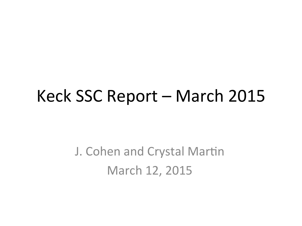#### Keck SSC Report – March 2015

J. Cohen and Crystal Martin March 12, 2015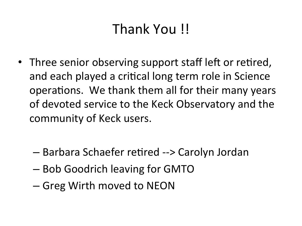#### Thank You !!

- Three senior observing support staff left or retired, and each played a critical long term role in Science operations. We thank them all for their many years of devoted service to the Keck Observatory and the community of Keck users.
	- $-$  Barbara Schaefer retired --> Carolyn Jordan
	- Bob Goodrich leaving for GMTO
	- Greg Wirth moved to NEON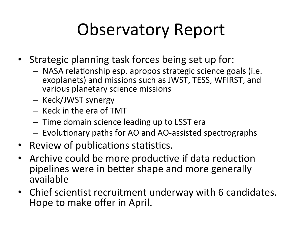# **Observatory Report**

- Strategic planning task forces being set up for:
	- $-$  NASA relationship esp. apropos strategic science goals (i.e. exoplanets) and missions such as JWST, TESS, WFIRST, and various planetary science missions
	- Keck/JWST synergy
	- Keck in the era of TMT
	- $-$  Time domain science leading up to LSST era
	- $-$  Evolutionary paths for AO and AO-assisted spectrographs
- Review of publications statistics.
- Archive could be more productive if data reduction pipelines were in better shape and more generally available
- Chief scientist recruitment underway with 6 candidates. Hope to make offer in April.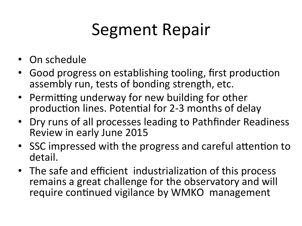# Segment Repair

- On schedule
- Good progress on establishing tooling, first production assembly run, tests of bonding strength, etc.
- Permitting underway for new building for other production lines. Potential for 2-3 months of delay
- Dry runs of all processes leading to Pathfinder Readiness Review in early June 2015
- SSC impressed with the progress and careful attention to detail.
- The safe and efficient industrialization of this process remains a great challenge for the observatory and will require continued vigilance by WMKO management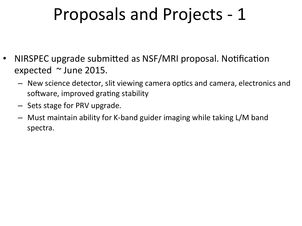### Proposals and Projects - 1

- NIRSPEC upgrade submitted as NSF/MRI proposal. Notification expected  $\sim$  June 2015.
	- $-$  New science detector, slit viewing camera optics and camera, electronics and software, improved grating stability
	- Sets stage for PRV upgrade.
	- $-$  Must maintain ability for K-band guider imaging while taking L/M band spectra.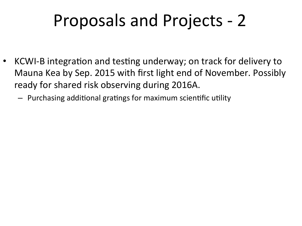# Proposals and Projects - 2

- KCWI-B integration and testing underway; on track for delivery to Mauna Kea by Sep. 2015 with first light end of November. Possibly ready for shared risk observing during 2016A.
	- $-$  Purchasing additional gratings for maximum scientific utility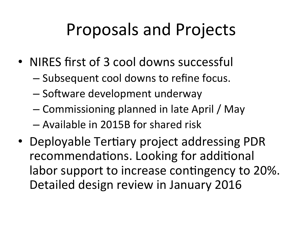# Proposals and Projects

- NIRES first of 3 cool downs successful
	- $-$  Subsequent cool downs to refine focus.
	- Software development underway
	- Commissioning planned in late April / May
	- $-$  Available in 2015B for shared risk
- Deployable Tertiary project addressing PDR recommendations. Looking for additional labor support to increase contingency to 20%. Detailed design review in January 2016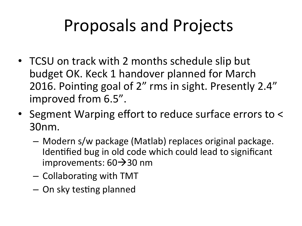## Proposals and Projects

- TCSU on track with 2 months schedule slip but budget OK. Keck 1 handover planned for March 2016. Pointing goal of 2" rms in sight. Presently 2.4" improved from 6.5".
- Segment Warping effort to reduce surface errors to < 30nm.
	- $-$  Modern s/w package (Matlab) replaces original package. Identified bug in old code which could lead to significant improvements:  $60\rightarrow30$  nm
	- $-$  Collaborating with TMT
	- $-$  On sky testing planned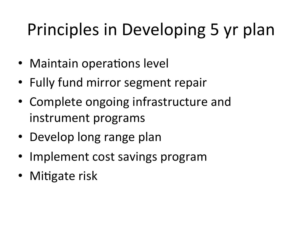# Principles in Developing 5 yr plan

- Maintain operations level
- Fully fund mirror segment repair
- Complete ongoing infrastructure and instrument programs
- Develop long range plan
- Implement cost savings program
- Mitigate risk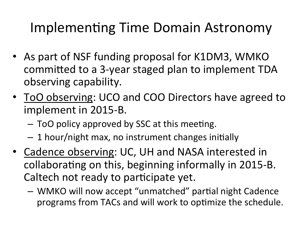#### Implementing Time Domain Astronomy

- As part of NSF funding proposal for K1DM3, WMKO committed to a 3-year staged plan to implement TDA observing capability.
- ToO observing: UCO and COO Directors have agreed to implement in 2015-B.
	- ToO policy approved by SSC at this meeting.
	- $-1$  hour/night max, no instrument changes initially
- Cadence observing: UC, UH and NASA interested in collaborating on this, beginning informally in 2015-B. Caltech not ready to participate yet.
	- $-$  WMKO will now accept "unmatched" partial night Cadence programs from TACs and will work to optimize the schedule.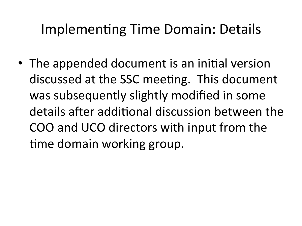#### Implementing Time Domain: Details

• The appended document is an initial version discussed at the SSC meeting. This document was subsequently slightly modified in some details after additional discussion between the COO and UCO directors with input from the time domain working group.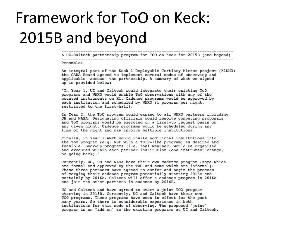#### Framework for ToO on Keck: 2015B and beyond

A UC-Caltech partnership program for TOO on Keck for 2015B (and beyond) 

----------------------

Preamble:

An integral part of the Keck 1 Deployable Tertiary Mirror project (K1DM3) the CARA Board agreed to implement several modes of observing and applicable -across- the partnership. A summary of what we signed up is provided below:

"In Year 1, UC and Caltech would integrate their existing ToO programs and WMKO would enable ToO observations with any of the mounted instruments on K1. Cadence programs would be approved by each institution and scheduled by WMKO (1 program per night, restricted to the first-half).

In Year 2, the ToO program would expand to all WMKO partners including UH and NASA. Designating officials would resolve competing proposals and ToO programs would be executed on a first-to request basis on any given night. Cadence programs would be scheduled during any time of the night and may involve multiple institutions.

Finally, in Year 3 WMKO would invite additional institutions into the ToO program (e.g. NSF with a TSIP-like program) as desired and feasible. Back-up programs (i.e. foul weather) would be organized and executed within each partner institution (one instrument change, no going back)."

Currently, UC, UH and NASA have their own cadence program (some which are formal and approved by the TAC and some which are informal). These three partners have agreed to confer and begin the process of merging their cadence program potentially starting 2015B and certainly by 2016A. Caltech will offer a cadence program in 2016A and join the other partners in cadence by 2016B.

UC and Caltech and have agreed to start a joint TOO program starting in 2015B. Currently, UC and Caltech have their own TOO programs. These programs have been in effect for the past many years. So there is considerable experience in both institutions for this mode of observing. The proposed "joint" program is an "add on" to the existing programs at UC and Caltech.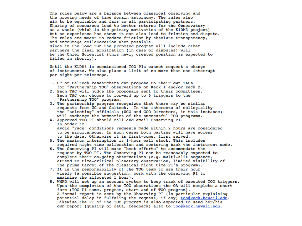The rules below are a balance between classical observing and the growing needs of time domain astornomy. The rules also aim to be equitable and fair to all participating partners. Sharing of resources lead to better returns for the Observatory as a whole (which is the primary motivation of the K1DM3 project) but as experience has shown it can also lead to friction and dispute. The rules are meant to reduce friction by absolute transparency, and encourage collaboration when possible. Since in the long run the proposed program will include other partners the final arbitration (in case of disputes) will be the Chief Scientist (this newly created position is expected to filled in shortly).

Until the K1DM3 is commissioned TOO PIs cannot request a change of instruments. We also place a limit of no more than one interrupt per night per telescope.

- 1. UC or Caltech researchers can propose to their own TACs for "Partnership TOO" observations on Keck 1 and/or Keck 2.
- 2. Each TAC will judge the proposals sent to their committees. Each TAC can choose to forward up to 6 triggers to the "Partnership TOO" program.
- 3. The partnership program recognizes that there may be similar requests from UC and Caltech. In the interests of collegiality the "selecting" officials (UCO and COO Directors, in this instance) will exchange the summaries of the successful TOO programs.
- 4. Approved TOO PI should call and email Observing PI. In order to avoid "race" conditions requests made within 2 hours are considered to be simultaneous. In such cases both parties will have access to the data. Otherwise it is first-come, first served.
- 5. The maximum interruption is 1-hour wall clock. This includes required night time calibration and restoring back the instrument mode.
- 6. The Observing PI will make "best efforts" to accommodate the request by TOO PI. The Observing PI can be reasonably expected to complete their on-going observations (e.g. multi-slit sequence, attend to time-critical planetary observation, limited visibility of the prime target of the classical night time PI's program).
- 7. It is the responsibility of the TOO team to use their hour wisely (a possible suggestion: work with the observing PI to maximize the allocated 1 hour).
- 8. WMKO will set up an account system to keep track of executed TOO triggers. Upon the completion of the TOO obserations the OA will complete a short form (TOO PI name, program, start and of TOO program). A formal report is sent by the Observing PI (in particular explaining potential delay in fulfuling the request, if any) too@keck.hawaii.edu. Likewise the PI of the TOO program is also expected to send her/his own report (quality of data, feedback) also to too@keck.hawaii.edu.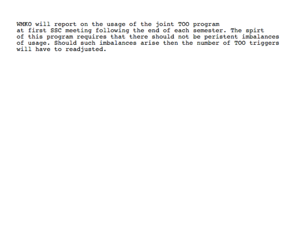WMKO will report on the usage of the joint TOO program at first SSC meeting following the end of each semester. The spirt of this program requires that there should not be peristent imbalances of usage. Should such imbalances arise then the number of TOO triggers

will have to readjusted.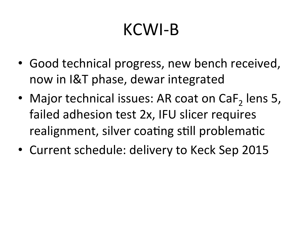# KCWI-B

- Good technical progress, new bench received, now in I&T phase, dewar integrated
- Major technical issues: AR coat on  $\text{CaF}_2$  lens 5, failed adhesion test 2x, IFU slicer requires realignment, silver coating still problematic
- Current schedule: delivery to Keck Sep 2015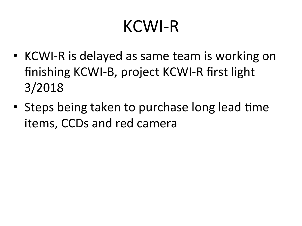### KCWI-R

- KCWI-R is delayed as same team is working on finishing KCWI-B, project KCWI-R first light 3/2018
- Steps being taken to purchase long lead time items, CCDs and red camera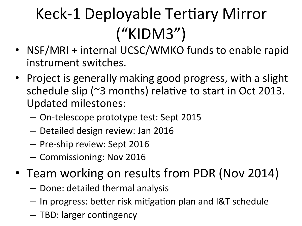# Keck-1 Deployable Tertiary Mirror ("KIDM3")

- NSF/MRI + internal UCSC/WMKO funds to enable rapid instrument switches.
- Project is generally making good progress, with a slight schedule slip ( $\sim$ 3 months) relative to start in Oct 2013. Updated milestones:
	- On-telescope prototype test: Sept 2015
	- Detailed design review: Jan 2016
	- Pre-ship review: Sept 2016
	- Commissioning: Nov 2016
- Team working on results from PDR (Nov 2014)
	- $-$  Done: detailed thermal analysis
	- $-$  In progress: better risk mitigation plan and I&T schedule
	- $-$  TBD: larger contingency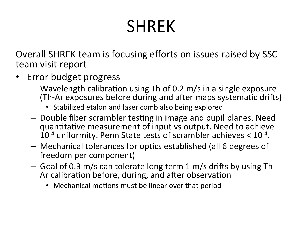# SHREK

Overall SHREK team is focusing efforts on issues raised by SSC team visit report

- Error budget progress
	- $-$  Wavelength calibration using Th of 0.2 m/s in a single exposure (Th-Ar exposures before during and after maps systematic drifts)
		- Stabilized etalon and laser comb also being explored
	- $-$  Double fiber scrambler testing in image and pupil planes. Need quantitative measurement of input vs output. Need to achieve  $10^{-4}$  uniformity. Penn State tests of scrambler achieves  $< 10^{-4}$ .
	- $-$  Mechanical tolerances for optics established (all 6 degrees of freedom per component)
	- $-$  Goal of 0.3 m/s can tolerate long term 1 m/s drifts by using Th-Ar calibration before, during, and after observation
		- Mechanical motions must be linear over that period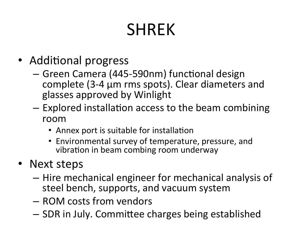# SHREK

- Additional progress
	- Green Camera (445-590nm) functional design complete (3-4 µm rms spots). Clear diameters and glasses approved by Winlight
	- $-$  Explored installation access to the beam combining room
		- Annex port is suitable for installation
		- Environmental survey of temperature, pressure, and vibration in beam combing room underway
- Next steps
	- $-$  Hire mechanical engineer for mechanical analysis of steel bench, supports, and vacuum system
	- $-$  ROM costs from vendors
	- $-$  SDR in July. Committee charges being established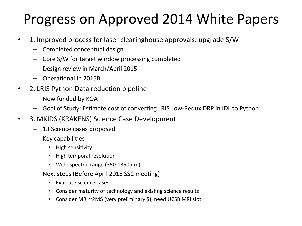#### Progress on Approved 2014 White Papers

- 1. Improved process for laser clearinghouse approvals: upgrade S/W
	- $-$  Completed conceptual design
	- $-$  Core S/W for target window processing completed
	- Design review in March/April 2015
	- $-$  Operational in 2015B
- 2. LRIS Python Data reduction pipeline
	- Now funded by KOA
	- Goal of Study: Estimate cost of converting LRIS Low-Redux DRP in IDL to Python
- 3. MKIDS (KRAKENS) Science Case Development
	- 13 Science cases proposed
	- $-$  Key capabilities
		- High sensitivity
		- **High temporal resolution**
		- Wide spectral range (350-1350 nm)
	- Next steps (Before April 2015 SSC meeting)
		- Evaluate science cases
		- Consider maturity of technology and existing science results
		- Consider MRI ~2M\$ (very preliminary \$), need UCSB MRI slot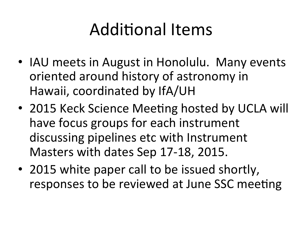# **Additional Items**

- IAU meets in August in Honolulu. Many events oriented around history of astronomy in Hawaii, coordinated by IfA/UH
- 2015 Keck Science Meeting hosted by UCLA will have focus groups for each instrument discussing pipelines etc with Instrument Masters with dates Sep 17-18, 2015.
- 2015 white paper call to be issued shortly, responses to be reviewed at June SSC meeting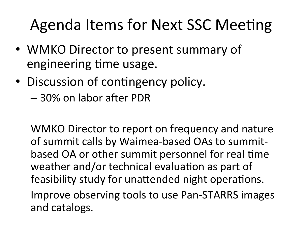#### Agenda Items for Next SSC Meeting

- WMKO Director to present summary of engineering time usage.
- Discussion of contingency policy.
	- $-$  30% on labor after PDR

WMKO Director to report on frequency and nature of summit calls by Waimea-based OAs to summitbased OA or other summit personnel for real time weather and/or technical evaluation as part of feasibility study for unattended night operations.

Improve observing tools to use Pan-STARRS images and catalogs.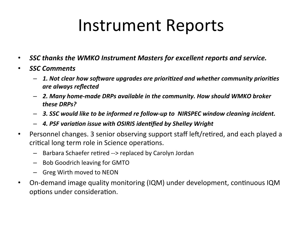#### Instrument Reports

- SSC thanks the WMKO Instrument Masters for excellent reports and service.
- *SSC Comments* 
	- $-$  1. Not clear how software upgrades are prioritized and whether community priorities *are always reflected*
	- $-$  2. Many home-made DRPs available in the community. How should WMKO broker *these DRPs?*
	- $-$  3. SSC would like to be informed re follow-up to NIRSPEC window cleaning incident.
	- $-$  4. PSF variation issue with OSIRIS identified by Shelley Wright
- Personnel changes. 3 senior observing support staff left/retired, and each played a critical long term role in Science operations.
	- $-$  Barbara Schaefer retired --> replaced by Carolyn Jordan
	- $-$  Bob Goodrich leaving for GMTO
	- Greg Wirth moved to NEON
- On-demand image quality monitoring (IQM) under development, continuous IQM options under consideration.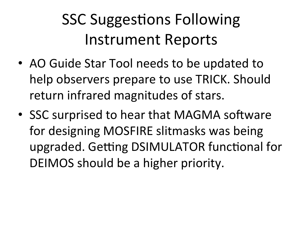### **SSC Suggestions Following** Instrument Reports

- AO Guide Star Tool needs to be updated to help observers prepare to use TRICK. Should return infrared magnitudes of stars.
- SSC surprised to hear that MAGMA software for designing MOSFIRE slitmasks was being upgraded. Getting DSIMULATOR functional for DEIMOS should be a higher priority.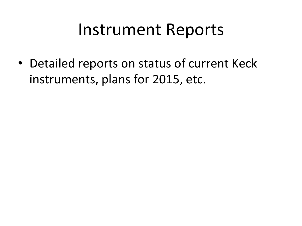#### Instrument Reports

• Detailed reports on status of current Keck instruments, plans for 2015, etc.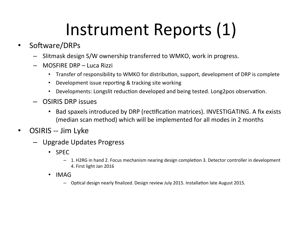# Instrument Reports (1)

- Software/DRPs
	- $-$  Slitmask design S/W ownership transferred to WMKO, work in progress.
	- MOSFIRE DRP – Luca Rizzi
		- Transfer of responsibility to WMKO for distribution, support, development of DRP is complete
		- Development issue reporting & tracking site working
		- Developments: Longslit reduction developed and being tested. Long2pos observation.
	- $-$  OSIRIS DRP issues
		- Bad spaxels introduced by DRP (rectification matrices). INVESTIGATING. A fix exists (median scan method) which will be implemented for all modes in 2 months
- OSIRIS -- Jim Lyke
	- Upgrade Updates Progress
		- SPEC
			- $-$  1. H2RG in hand 2. Focus mechanism nearing design completion 3. Detector controller in development 4. First light Jan 2016
		- IMAG
			- $-$  Optical design nearly finalized. Design review July 2015. Installation late August 2015.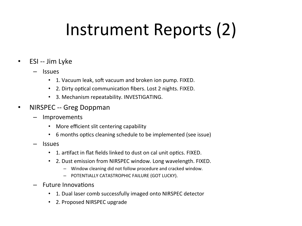# Instrument Reports (2)

- ESI -- Jim Lyke
	- Issues
		- 1. Vacuum leak, soft vacuum and broken ion pump. FIXED.
		- 2. Dirty optical communication fibers. Lost 2 nights. FIXED.
		- 3. Mechanism repeatability. INVESTIGATING.
- NIRSPEC -- Greg Doppman
	- **Improvements** 
		- More efficient slit centering capability
		- 6 months optics cleaning schedule to be implemented (see issue)
	- Issues
		- 1. artifact in flat fields linked to dust on cal unit optics. FIXED.
		- 2. Dust emission from NIRSPEC window. Long wavelength. FIXED.
			- Window cleaning did not follow procedure and cracked window.
			- POTENTIALLY CATASTROPHIC FAILURE (GOT LUCKY).
	- $-$  Future Innovations
		- 1. Dual laser comb successfully imaged onto NIRSPEC detector
		- 2. Proposed NIRSPEC upgrade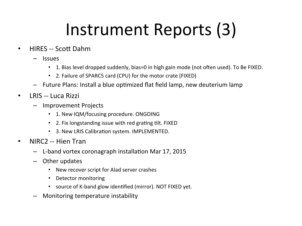# Instrument Reports (3)

- HIRES -- Scott Dahm
	- Issues
		- 1. Bias level dropped suddenly, bias=0 in high gain mode (not often used). To Be FIXED.
		- 2. Failure of SPARC5 card (CPU) for the motor crate (FIXED)
	- $-$  Future Plans: Install a blue optimized flat field lamp, new deuterium lamp
- LRIS -- Luca Rizzi
	- Improvement Projects
		- 1. New IQM/focusing procedure. ONGOING
		- 2. Fix longstanding issue with red grating tilt. FIXED
		- 3. New LRIS Calibration system. IMPLEMENTED.
- NIRC2 -- Hien Tran
	- L-band vortex coronagraph installation Mar 17, 2015
	- $-$  Other updates
		- New recover script for Alad server crashes
		- Detector monitoring
		- source of K-band glow identified (mirror). NOT FIXED yet.
	- Monitoring temperature instability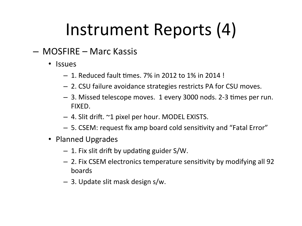# Instrument Reports (4)

- MOSFIRE Marc Kassis
	- Issues
		- $-1.$  Reduced fault times. 7% in 2012 to 1% in 2014 !
		- $-$  2. CSU failure avoidance strategies restricts PA for CSU moves.
		- $-$  3. Missed telescope moves. 1 every 3000 nods. 2-3 times per run. FIXED.
		- $-$  4. Slit drift.  $\sim$ 1 pixel per hour. MODEL EXISTS.
		- $-$  5. CSEM: request fix amp board cold sensitivity and "Fatal Error"
	- Planned Upgrades
		- $-1$ . Fix slit drift by updating guider S/W.
		- $-$  2. Fix CSEM electronics temperature sensitivity by modifying all 92 boards
		- $-$  3. Update slit mask design s/w.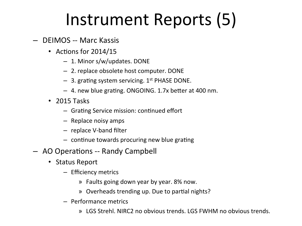# Instrument Reports (5)

- $-$  DEIMOS -- Marc Kassis
	- Actions for  $2014/15$ 
		- 1. Minor s/w/updates. DONE
		- 2. replace obsolete host computer. DONE
		- $-$  3. grating system servicing. 1<sup>st</sup> PHASE DONE.
		- $-$  4. new blue grating. ONGOING. 1.7x better at 400 nm.
	- $\cdot$  2015 Tasks
		- $-$  Grating Service mission: continued effort
		- $-$  Replace noisy amps
		- $-$  replace V-band filter
		- $-$  continue towards procuring new blue grating
- AO Operations -- Randy Campbell
	- Status Report
		- Efficiency metrics
			- » Faults going down year by year. 8% now.
			- » Overheads trending up. Due to partial nights?
		- Performance metrics
			- » LGS Strehl. NIRC2 no obvious trends. LGS FWHM no obvious trends.